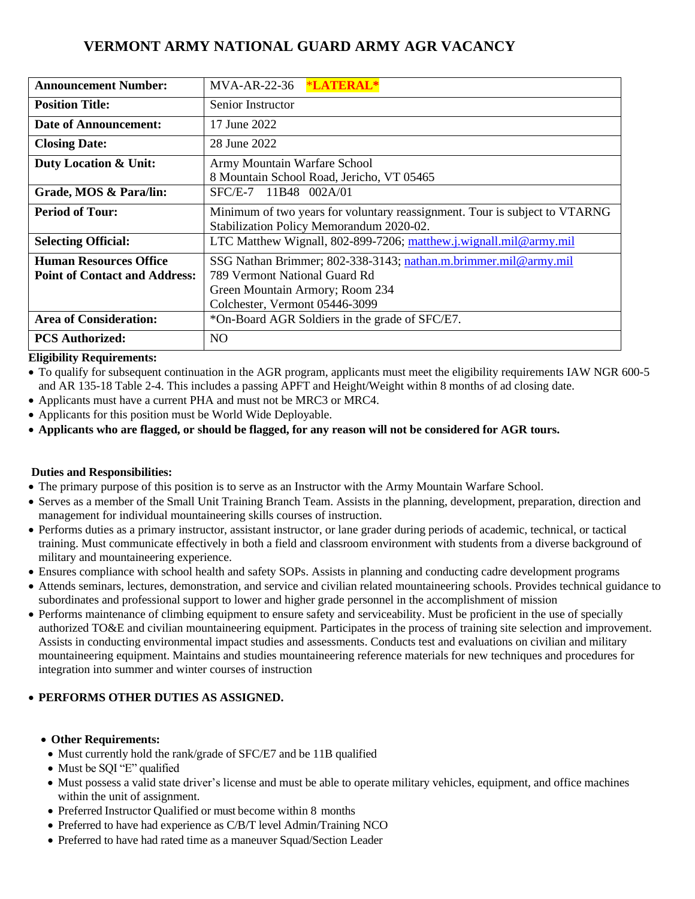# **VERMONT ARMY NATIONAL GUARD ARMY AGR VACANCY**

| <b>Announcement Number:</b>          | *LATERAL*<br>$MVA-AR-22-36$                                                                                            |  |  |
|--------------------------------------|------------------------------------------------------------------------------------------------------------------------|--|--|
| <b>Position Title:</b>               | Senior Instructor                                                                                                      |  |  |
| Date of Announcement:                | 17 June 2022                                                                                                           |  |  |
| <b>Closing Date:</b>                 | 28 June 2022                                                                                                           |  |  |
| Duty Location & Unit:                | Army Mountain Warfare School                                                                                           |  |  |
|                                      | 8 Mountain School Road, Jericho, VT 05465                                                                              |  |  |
| Grade, MOS & Para/lin:               | SFC/E-7 11B48 002A/01                                                                                                  |  |  |
| <b>Period of Tour:</b>               | Minimum of two years for voluntary reassignment. Tour is subject to VTARNG<br>Stabilization Policy Memorandum 2020-02. |  |  |
| <b>Selecting Official:</b>           | LTC Matthew Wignall, 802-899-7206; matthew.j.wignall.mil@army.mil                                                      |  |  |
| <b>Human Resources Office</b>        | SSG Nathan Brimmer; 802-338-3143; nathan.m.brimmer.mil@army.mil                                                        |  |  |
| <b>Point of Contact and Address:</b> | 789 Vermont National Guard Rd                                                                                          |  |  |
|                                      | Green Mountain Armory; Room 234                                                                                        |  |  |
|                                      | Colchester, Vermont 05446-3099                                                                                         |  |  |
| <b>Area of Consideration:</b>        | *On-Board AGR Soldiers in the grade of SFC/E7.                                                                         |  |  |
| <b>PCS Authorized:</b>               | N <sub>O</sub>                                                                                                         |  |  |

## **Eligibility Requirements:**

• To qualify for subsequent continuation in the AGR program, applicants must meet the eligibility requirements IAW NGR 600-5 and AR 135-18 Table 2-4. This includes a passing APFT and Height/Weight within 8 months of ad closing date.

- Applicants must have a current PHA and must not be MRC3 or MRC4.
- Applicants for this position must be World Wide Deployable.
- **Applicants who are flagged, or should be flagged, for any reason will not be considered for AGR tours.**

## **Duties and Responsibilities:**

- The primary purpose of this position is to serve as an Instructor with the Army Mountain Warfare School.
- Serves as a member of the Small Unit Training Branch Team. Assists in the planning, development, preparation, direction and management for individual mountaineering skills courses of instruction.
- Performs duties as a primary instructor, assistant instructor, or lane grader during periods of academic, technical, or tactical training. Must communicate effectively in both a field and classroom environment with students from a diverse background of military and mountaineering experience.
- Ensures compliance with school health and safety SOPs. Assists in planning and conducting cadre development programs
- Attends seminars, lectures, demonstration, and service and civilian related mountaineering schools. Provides technical guidance to subordinates and professional support to lower and higher grade personnel in the accomplishment of mission
- Performs maintenance of climbing equipment to ensure safety and serviceability. Must be proficient in the use of specially authorized TO&E and civilian mountaineering equipment. Participates in the process of training site selection and improvement. Assists in conducting environmental impact studies and assessments. Conducts test and evaluations on civilian and military mountaineering equipment. Maintains and studies mountaineering reference materials for new techniques and procedures for integration into summer and winter courses of instruction

## • **PERFORMS OTHER DUTIES AS ASSIGNED.**

- **Other Requirements:**
- Must currently hold the rank/grade of SFC/E7 and be 11B qualified
- Must be SQI "E" qualified
- Must possess a valid state driver's license and must be able to operate military vehicles, equipment, and office machines within the unit of assignment.
- Preferred Instructor Qualified or must become within 8 months
- Preferred to have had experience as C/B/T level Admin/Training NCO
- Preferred to have had rated time as a maneuver Squad/Section Leader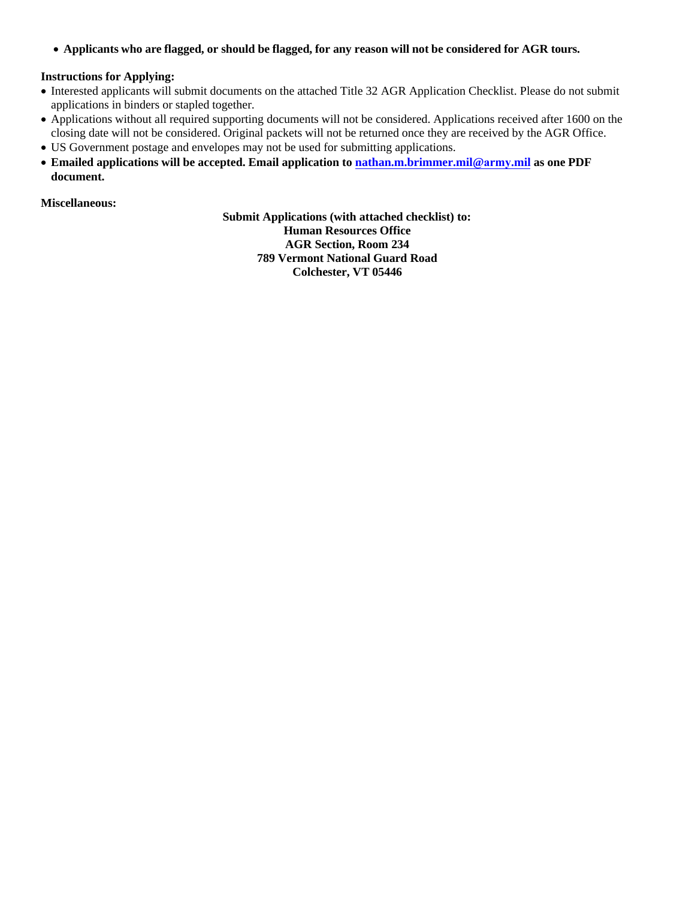• Applicants who are flagged, or should be flagged, for any reason will not be considered for AGR tours.

## **Instructions for Applying:**

- Interested applicants will submit documents on the attached Title 32 AGR Application Checklist. Please do not submit applications in binders or stapled together.
- Applications without all required supporting documents will not be considered. Applications received after 1600 on the closing date will not be considered. Original packets will not be returned once they are received by the AGR Office.
- US Government postage and envelopes may not be used for submitting applications.
- **Emailed applications will be accepted. Email application to [nathan.m.brimmer.mil@](mailto:nathan.m.brimmer.mil@mail.mil)army.mil as one PDF document.**

**Miscellaneous:**

 **Submit Applications (with attached checklist) to: Human Resources Office AGR Section, Room 234 789 Vermont National Guard Road Colchester, VT 05446**